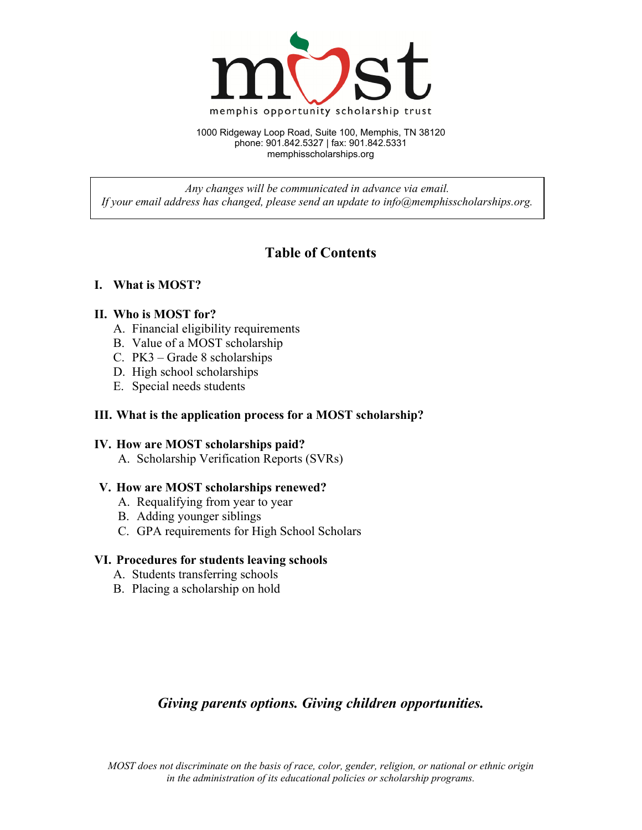

1000 Ridgeway Loop Road, Suite 100, Memphis, TN 38120 phone: 901.842.5327 | fax: 901.842.5331 memphisscholarships.org

*Any changes will be communicated in advance via email. If your email address has changed, please send an update to info@memphisscholarships.org.* 

# **Table of Contents**

### **I. What is MOST?**

#### **II. Who is MOST for?**

- A. Financial eligibility requirements
- B. Value of a MOST scholarship
- C. PK3 Grade 8 scholarships
- D. High school scholarships
- E. Special needs students

#### **III. What is the application process for a MOST scholarship?**

#### **IV. How are MOST scholarships paid?**

A. Scholarship Verification Reports (SVRs)

#### **V. How are MOST scholarships renewed?**

- A. Requalifying from year to year
- B. Adding younger siblings
- C. GPA requirements for High School Scholars

#### **VI. Procedures for students leaving schools**

- A. Students transferring schools
- B. Placing a scholarship on hold

## *Giving parents options. Giving children opportunities.*

*MOST does not discriminate on the basis of race, color, gender, religion, or national or ethnic origin in the administration of its educational policies or scholarship programs.*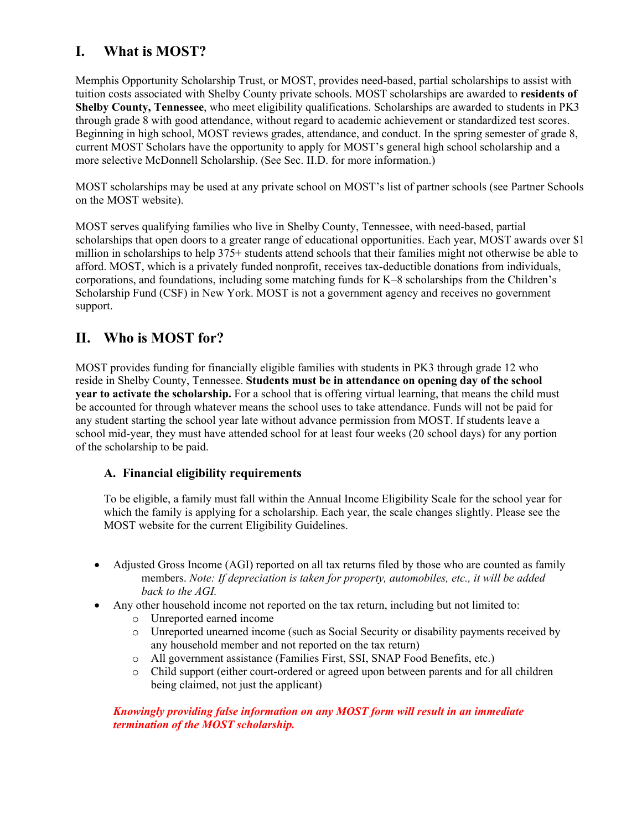# **I. What is MOST?**

Memphis Opportunity Scholarship Trust, or MOST, provides need-based, partial scholarships to assist with tuition costs associated with Shelby County private schools. MOST scholarships are awarded to **residents of Shelby County, Tennessee**, who meet eligibility qualifications. Scholarships are awarded to students in PK3 through grade 8 with good attendance, without regard to academic achievement or standardized test scores. Beginning in high school, MOST reviews grades, attendance, and conduct. In the spring semester of grade 8, current MOST Scholars have the opportunity to apply for MOST's general high school scholarship and a more selective McDonnell Scholarship. (See Sec. II.D. for more information.)

MOST scholarships may be used at any private school on MOST's list of partner schools (see Partner Schools on the MOST website).

MOST serves qualifying families who live in Shelby County, Tennessee, with need-based, partial scholarships that open doors to a greater range of educational opportunities. Each year, MOST awards over \$1 million in scholarships to help 375+ students attend schools that their families might not otherwise be able to afford. MOST, which is a privately funded nonprofit, receives tax-deductible donations from individuals, corporations, and foundations, including some matching funds for K–8 scholarships from the Children's Scholarship Fund (CSF) in New York. MOST is not a government agency and receives no government support.

## **II. Who is MOST for?**

MOST provides funding for financially eligible families with students in PK3 through grade 12 who reside in Shelby County, Tennessee. **Students must be in attendance on opening day of the school year to activate the scholarship.** For a school that is offering virtual learning, that means the child must be accounted for through whatever means the school uses to take attendance. Funds will not be paid for any student starting the school year late without advance permission from MOST. If students leave a school mid-year, they must have attended school for at least four weeks (20 school days) for any portion of the scholarship to be paid.

### **A. Financial eligibility requirements**

To be eligible, a family must fall within the Annual Income Eligibility Scale for the school year for which the family is applying for a scholarship. Each year, the scale changes slightly. Please see the MOST website for the current Eligibility Guidelines.

- Adjusted Gross Income (AGI) reported on all tax returns filed by those who are counted as family members. *Note: If depreciation is taken for property, automobiles, etc., it will be added back to the AGI.*
- Any other household income not reported on the tax return, including but not limited to:
	- o Unreported earned income
	- o Unreported unearned income (such as Social Security or disability payments received by any household member and not reported on the tax return)
	- o All government assistance (Families First, SSI, SNAP Food Benefits, etc.)
	- o Child support (either court-ordered or agreed upon between parents and for all children being claimed, not just the applicant)

#### *Knowingly providing false information on any MOST form will result in an immediate termination of the MOST scholarship.*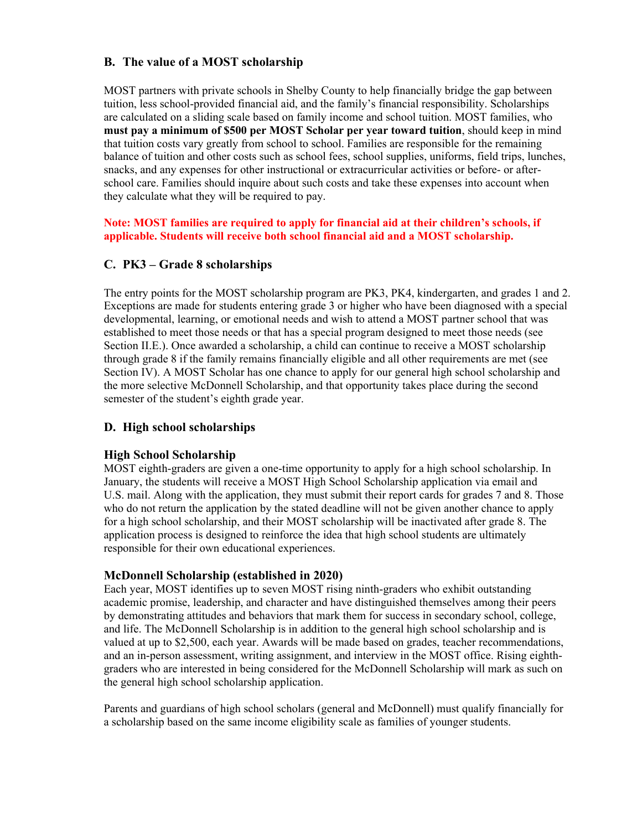### **B. The value of a MOST scholarship**

MOST partners with private schools in Shelby County to help financially bridge the gap between tuition, less school-provided financial aid, and the family's financial responsibility. Scholarships are calculated on a sliding scale based on family income and school tuition. MOST families, who **must pay a minimum of \$500 per MOST Scholar per year toward tuition**, should keep in mind that tuition costs vary greatly from school to school. Families are responsible for the remaining balance of tuition and other costs such as school fees, school supplies, uniforms, field trips, lunches, snacks, and any expenses for other instructional or extracurricular activities or before- or afterschool care. Families should inquire about such costs and take these expenses into account when they calculate what they will be required to pay.

#### **Note: MOST families are required to apply for financial aid at their children's schools, if applicable. Students will receive both school financial aid and a MOST scholarship.**

### **C. PK3 – Grade 8 scholarships**

The entry points for the MOST scholarship program are PK3, PK4, kindergarten, and grades 1 and 2. Exceptions are made for students entering grade 3 or higher who have been diagnosed with a special developmental, learning, or emotional needs and wish to attend a MOST partner school that was established to meet those needs or that has a special program designed to meet those needs (see Section II.E.). Once awarded a scholarship, a child can continue to receive a MOST scholarship through grade 8 if the family remains financially eligible and all other requirements are met (see Section IV). A MOST Scholar has one chance to apply for our general high school scholarship and the more selective McDonnell Scholarship, and that opportunity takes place during the second semester of the student's eighth grade year.

#### **D. High school scholarships**

#### **High School Scholarship**

MOST eighth-graders are given a one-time opportunity to apply for a high school scholarship. In January, the students will receive a MOST High School Scholarship application via email and U.S. mail. Along with the application, they must submit their report cards for grades 7 and 8. Those who do not return the application by the stated deadline will not be given another chance to apply for a high school scholarship, and their MOST scholarship will be inactivated after grade 8. The application process is designed to reinforce the idea that high school students are ultimately responsible for their own educational experiences.

#### **McDonnell Scholarship (established in 2020)**

Each year, MOST identifies up to seven MOST rising ninth-graders who exhibit outstanding academic promise, leadership, and character and have distinguished themselves among their peers by demonstrating attitudes and behaviors that mark them for success in secondary school, college, and life. The McDonnell Scholarship is in addition to the general high school scholarship and is valued at up to \$2,500, each year. Awards will be made based on grades, teacher recommendations, and an in-person assessment, writing assignment, and interview in the MOST office. Rising eighthgraders who are interested in being considered for the McDonnell Scholarship will mark as such on the general high school scholarship application.

Parents and guardians of high school scholars (general and McDonnell) must qualify financially for a scholarship based on the same income eligibility scale as families of younger students.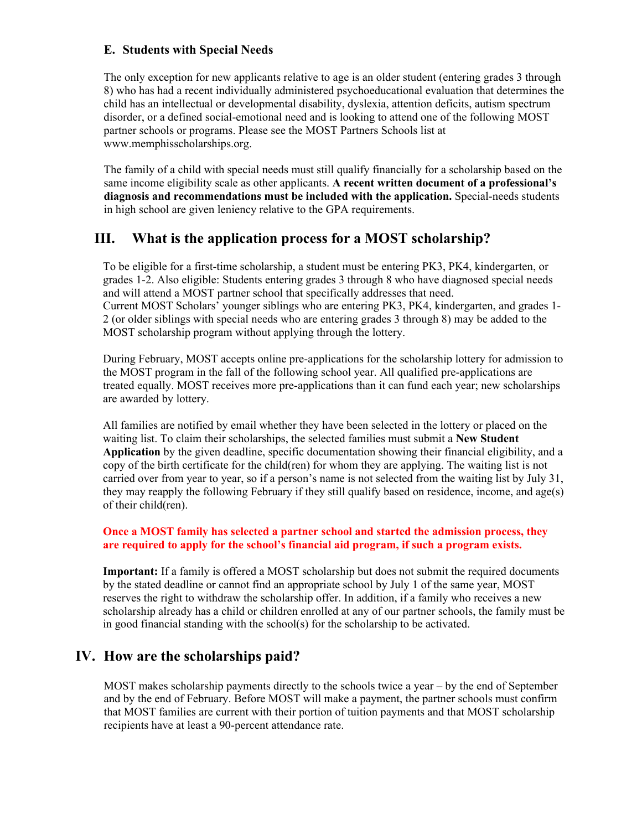#### **E. Students with Special Needs**

The only exception for new applicants relative to age is an older student (entering grades 3 through 8) who has had a recent individually administered psychoeducational evaluation that determines the child has an intellectual or developmental disability, dyslexia, attention deficits, autism spectrum disorder, or a defined social-emotional need and is looking to attend one of the following MOST partner schools or programs. Please see the MOST Partners Schools list at www.memphisscholarships.org.

The family of a child with special needs must still qualify financially for a scholarship based on the same income eligibility scale as other applicants. **A recent written document of a professional's diagnosis and recommendations must be included with the application.** Special-needs students in high school are given leniency relative to the GPA requirements.

## **III. What is the application process for a MOST scholarship?**

 To be eligible for a first-time scholarship, a student must be entering PK3, PK4, kindergarten, or grades 1-2. Also eligible: Students entering grades 3 through 8 who have diagnosed special needs and will attend a MOST partner school that specifically addresses that need. Current MOST Scholars' younger siblings who are entering PK3, PK4, kindergarten, and grades 1- 2 (or older siblings with special needs who are entering grades 3 through 8) may be added to the MOST scholarship program without applying through the lottery.

 During February, MOST accepts online pre-applications for the scholarship lottery for admission to the MOST program in the fall of the following school year. All qualified pre-applications are treated equally. MOST receives more pre-applications than it can fund each year; new scholarships are awarded by lottery.

 All families are notified by email whether they have been selected in the lottery or placed on the waiting list. To claim their scholarships, the selected families must submit a **New Student Application** by the given deadline, specific documentation showing their financial eligibility, and a copy of the birth certificate for the child(ren) for whom they are applying. The waiting list is not carried over from year to year, so if a person's name is not selected from the waiting list by July 31, they may reapply the following February if they still qualify based on residence, income, and age(s) of their child(ren).

#### **Once a MOST family has selected a partner school and started the admission process, they are required to apply for the school's financial aid program, if such a program exists.**

 **Important:** If a family is offered a MOST scholarship but does not submit the required documents by the stated deadline or cannot find an appropriate school by July 1 of the same year, MOST reserves the right to withdraw the scholarship offer. In addition, if a family who receives a new scholarship already has a child or children enrolled at any of our partner schools, the family must be in good financial standing with the school(s) for the scholarship to be activated.

## **IV. How are the scholarships paid?**

MOST makes scholarship payments directly to the schools twice a year – by the end of September and by the end of February. Before MOST will make a payment, the partner schools must confirm that MOST families are current with their portion of tuition payments and that MOST scholarship recipients have at least a 90-percent attendance rate.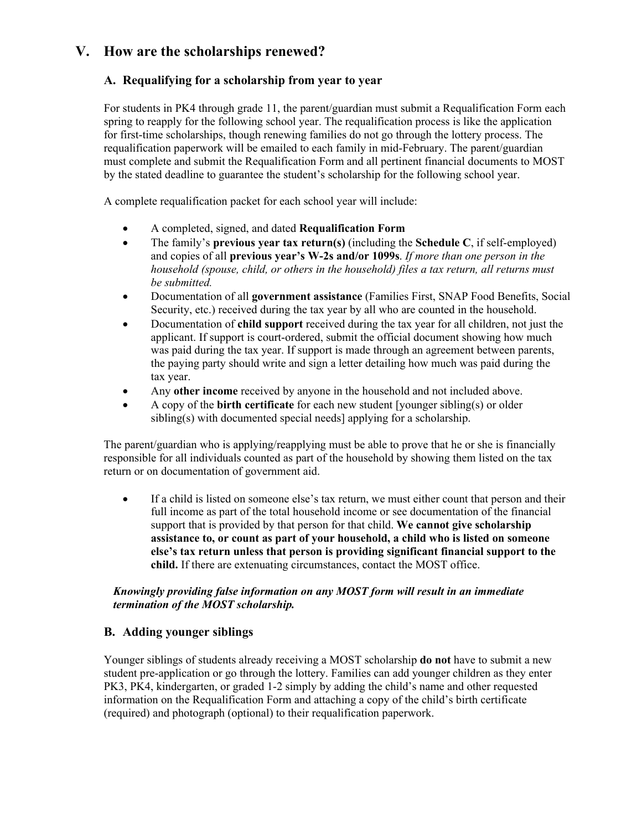## **V. How are the scholarships renewed?**

### **A. Requalifying for a scholarship from year to year**

For students in PK4 through grade 11, the parent/guardian must submit a Requalification Form each spring to reapply for the following school year. The requalification process is like the application for first-time scholarships, though renewing families do not go through the lottery process. The requalification paperwork will be emailed to each family in mid-February. The parent/guardian must complete and submit the Requalification Form and all pertinent financial documents to MOST by the stated deadline to guarantee the student's scholarship for the following school year.

A complete requalification packet for each school year will include:

- A completed, signed, and dated **Requalification Form**
- The family's **previous year tax return(s)** (including the **Schedule C**, if self-employed) and copies of all **previous year's W-2s and/or 1099s**. *If more than one person in the household (spouse, child, or others in the household) files a tax return, all returns must be submitted.*
- Documentation of all **government assistance** (Families First, SNAP Food Benefits, Social Security, etc.) received during the tax year by all who are counted in the household.
- Documentation of **child support** received during the tax year for all children, not just the applicant. If support is court-ordered, submit the official document showing how much was paid during the tax year. If support is made through an agreement between parents, the paying party should write and sign a letter detailing how much was paid during the tax year.
- Any **other income** received by anyone in the household and not included above.
- A copy of the **birth certificate** for each new student [younger sibling(s) or older sibling(s) with documented special needs] applying for a scholarship.

The parent/guardian who is applying/reapplying must be able to prove that he or she is financially responsible for all individuals counted as part of the household by showing them listed on the tax return or on documentation of government aid.

 If a child is listed on someone else's tax return, we must either count that person and their full income as part of the total household income or see documentation of the financial support that is provided by that person for that child. **We cannot give scholarship assistance to, or count as part of your household, a child who is listed on someone else's tax return unless that person is providing significant financial support to the child.** If there are extenuating circumstances, contact the MOST office.

#### *Knowingly providing false information on any MOST form will result in an immediate termination of the MOST scholarship.*

#### **B. Adding younger siblings**

Younger siblings of students already receiving a MOST scholarship **do not** have to submit a new student pre-application or go through the lottery. Families can add younger children as they enter PK3, PK4, kindergarten, or graded 1-2 simply by adding the child's name and other requested information on the Requalification Form and attaching a copy of the child's birth certificate (required) and photograph (optional) to their requalification paperwork.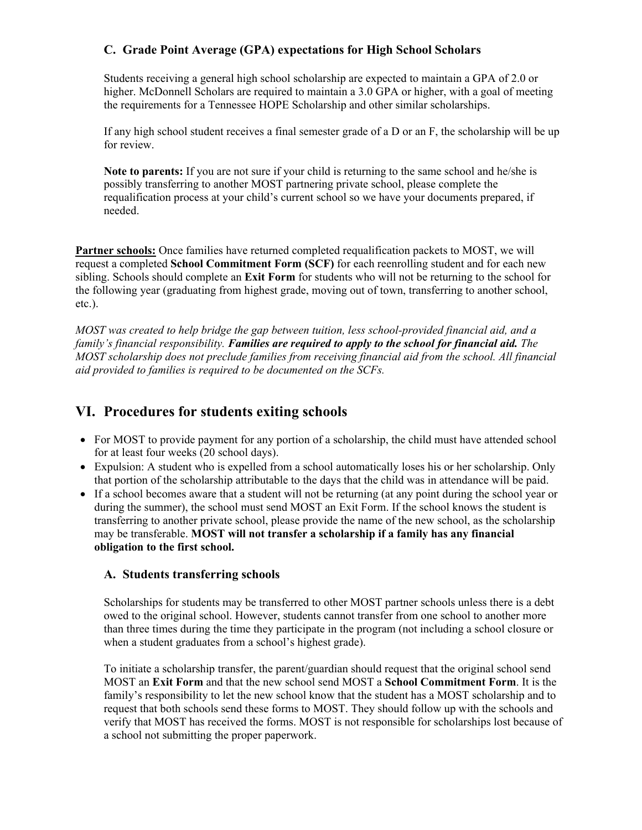### **C. Grade Point Average (GPA) expectations for High School Scholars**

Students receiving a general high school scholarship are expected to maintain a GPA of 2.0 or higher. McDonnell Scholars are required to maintain a 3.0 GPA or higher, with a goal of meeting the requirements for a Tennessee HOPE Scholarship and other similar scholarships.

If any high school student receives a final semester grade of a D or an F, the scholarship will be up for review.

**Note to parents:** If you are not sure if your child is returning to the same school and he/she is possibly transferring to another MOST partnering private school, please complete the requalification process at your child's current school so we have your documents prepared, if needed.

**Partner schools:** Once families have returned completed requalification packets to MOST, we will request a completed **School Commitment Form (SCF)** for each reenrolling student and for each new sibling. Schools should complete an **Exit Form** for students who will not be returning to the school for the following year (graduating from highest grade, moving out of town, transferring to another school, etc.).

*MOST was created to help bridge the gap between tuition, less school-provided financial aid, and a family's financial responsibility. Families are required to apply to the school for financial aid. The MOST scholarship does not preclude families from receiving financial aid from the school. All financial aid provided to families is required to be documented on the SCFs.* 

## **VI. Procedures for students exiting schools**

- For MOST to provide payment for any portion of a scholarship, the child must have attended school for at least four weeks (20 school days).
- Expulsion: A student who is expelled from a school automatically loses his or her scholarship. Only that portion of the scholarship attributable to the days that the child was in attendance will be paid.
- If a school becomes aware that a student will not be returning (at any point during the school year or during the summer), the school must send MOST an Exit Form. If the school knows the student is transferring to another private school, please provide the name of the new school, as the scholarship may be transferable. **MOST will not transfer a scholarship if a family has any financial obligation to the first school.**

#### **A. Students transferring schools**

Scholarships for students may be transferred to other MOST partner schools unless there is a debt owed to the original school. However, students cannot transfer from one school to another more than three times during the time they participate in the program (not including a school closure or when a student graduates from a school's highest grade).

To initiate a scholarship transfer, the parent/guardian should request that the original school send MOST an **Exit Form** and that the new school send MOST a **School Commitment Form**. It is the family's responsibility to let the new school know that the student has a MOST scholarship and to request that both schools send these forms to MOST. They should follow up with the schools and verify that MOST has received the forms. MOST is not responsible for scholarships lost because of a school not submitting the proper paperwork.